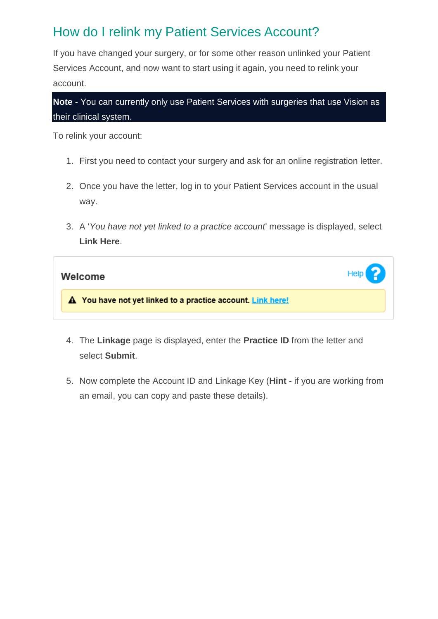## How do I relink my Patient Services Account?

If you have changed your surgery, or for some other reason unlinked your Patient Services Account, and now want to start using it again, you need to relink your account.

**Note** - You can currently only use Patient Services with surgeries that use Vision as their clinical system.

To relink your account:

- 1. First you need to contact your surgery and ask for an online registration letter.
- 2. Once you have the letter, log in to your Patient Services account in the usual way.
- 3. A '*You have not yet linked to a practice account*' message is displayed, select **Link Here**.

| Welcome                                                     | Heip |
|-------------------------------------------------------------|------|
| A You have not yet linked to a practice account. Link here! |      |

- 4. The **Linkage** page is displayed, enter the **Practice ID** from the letter and select **Submit**.
- 5. Now complete the Account ID and Linkage Key (**Hint** if you are working from an email, you can copy and paste these details).